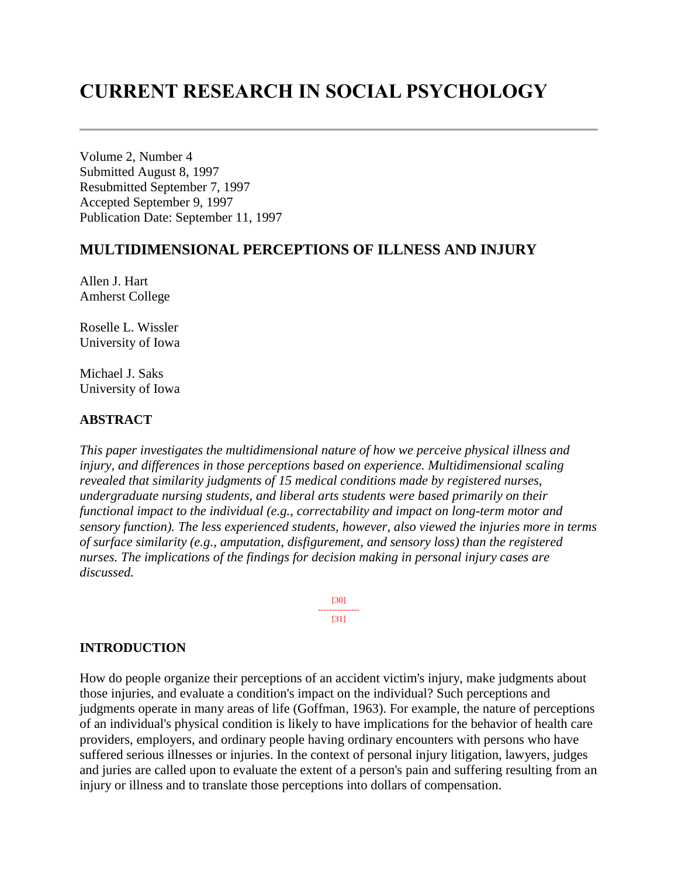# **CURRENT RESEARCH IN SOCIAL PSYCHOLOGY**

Volume 2, Number 4 Submitted August 8, 1997 Resubmitted September 7, 1997 Accepted September 9, 1997 Publication Date: September 11, 1997

## **MULTIDIMENSIONAL PERCEPTIONS OF ILLNESS AND INJURY**

Allen J. Hart Amherst College

Roselle L. Wissler University of Iowa

Michael J. Saks University of Iowa

#### **ABSTRACT**

*This paper investigates the multidimensional nature of how we perceive physical illness and injury, and differences in those perceptions based on experience. Multidimensional scaling revealed that similarity judgments of 15 medical conditions made by registered nurses, undergraduate nursing students, and liberal arts students were based primarily on their functional impact to the individual (e.g., correctability and impact on long-term motor and sensory function). The less experienced students, however, also viewed the injuries more in terms of surface similarity (e.g., amputation, disfigurement, and sensory loss) than the registered nurses. The implications of the findings for decision making in personal injury cases are discussed.*

> [30] --------------- [31]

#### **INTRODUCTION**

How do people organize their perceptions of an accident victim's injury, make judgments about those injuries, and evaluate a condition's impact on the individual? Such perceptions and judgments operate in many areas of life (Goffman, 1963). For example, the nature of perceptions of an individual's physical condition is likely to have implications for the behavior of health care providers, employers, and ordinary people having ordinary encounters with persons who have suffered serious illnesses or injuries. In the context of personal injury litigation, lawyers, judges and juries are called upon to evaluate the extent of a person's pain and suffering resulting from an injury or illness and to translate those perceptions into dollars of compensation.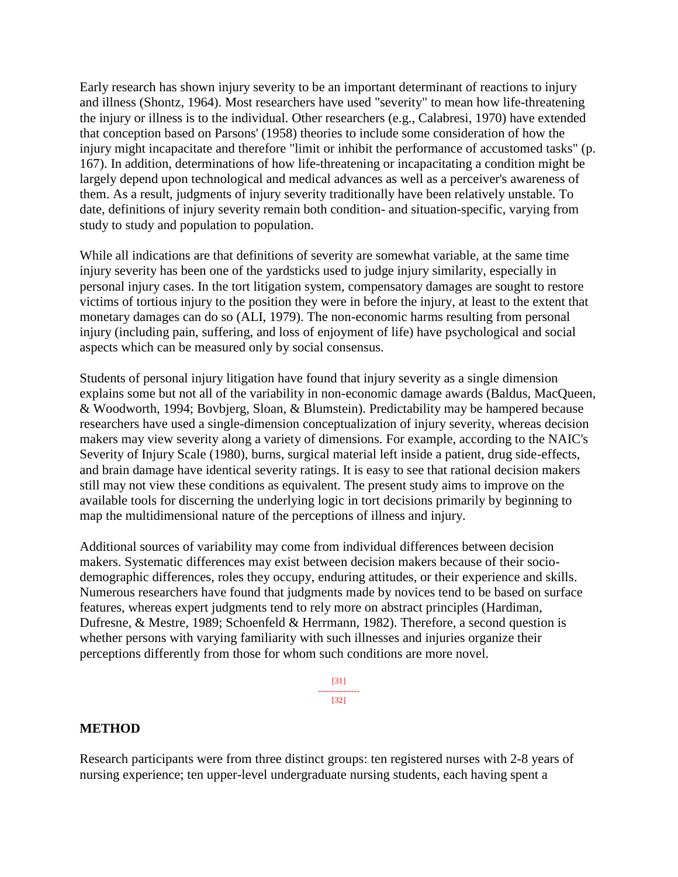Early research has shown injury severity to be an important determinant of reactions to injury and illness (Shontz, 1964). Most researchers have used "severity" to mean how life-threatening the injury or illness is to the individual. Other researchers (e.g., Calabresi, 1970) have extended that conception based on Parsons' (1958) theories to include some consideration of how the injury might incapacitate and therefore "limit or inhibit the performance of accustomed tasks" (p. 167). In addition, determinations of how life-threatening or incapacitating a condition might be largely depend upon technological and medical advances as well as a perceiver's awareness of them. As a result, judgments of injury severity traditionally have been relatively unstable. To date, definitions of injury severity remain both condition- and situation-specific, varying from study to study and population to population.

While all indications are that definitions of severity are somewhat variable, at the same time injury severity has been one of the yardsticks used to judge injury similarity, especially in personal injury cases. In the tort litigation system, compensatory damages are sought to restore victims of tortious injury to the position they were in before the injury, at least to the extent that monetary damages can do so (ALI, 1979). The non-economic harms resulting from personal injury (including pain, suffering, and loss of enjoyment of life) have psychological and social aspects which can be measured only by social consensus.

Students of personal injury litigation have found that injury severity as a single dimension explains some but not all of the variability in non-economic damage awards (Baldus, MacQueen, & Woodworth, 1994; Bovbjerg, Sloan, & Blumstein). Predictability may be hampered because researchers have used a single-dimension conceptualization of injury severity, whereas decision makers may view severity along a variety of dimensions. For example, according to the NAIC's Severity of Injury Scale (1980), burns, surgical material left inside a patient, drug side-effects, and brain damage have identical severity ratings. It is easy to see that rational decision makers still may not view these conditions as equivalent. The present study aims to improve on the available tools for discerning the underlying logic in tort decisions primarily by beginning to map the multidimensional nature of the perceptions of illness and injury.

Additional sources of variability may come from individual differences between decision makers. Systematic differences may exist between decision makers because of their sociodemographic differences, roles they occupy, enduring attitudes, or their experience and skills. Numerous researchers have found that judgments made by novices tend to be based on surface features, whereas expert judgments tend to rely more on abstract principles (Hardiman, Dufresne, & Mestre, 1989; Schoenfeld & Herrmann, 1982). Therefore, a second question is whether persons with varying familiarity with such illnesses and injuries organize their perceptions differently from those for whom such conditions are more novel.

> [31] --------------- [32]

#### **METHOD**

Research participants were from three distinct groups: ten registered nurses with 2-8 years of nursing experience; ten upper-level undergraduate nursing students, each having spent a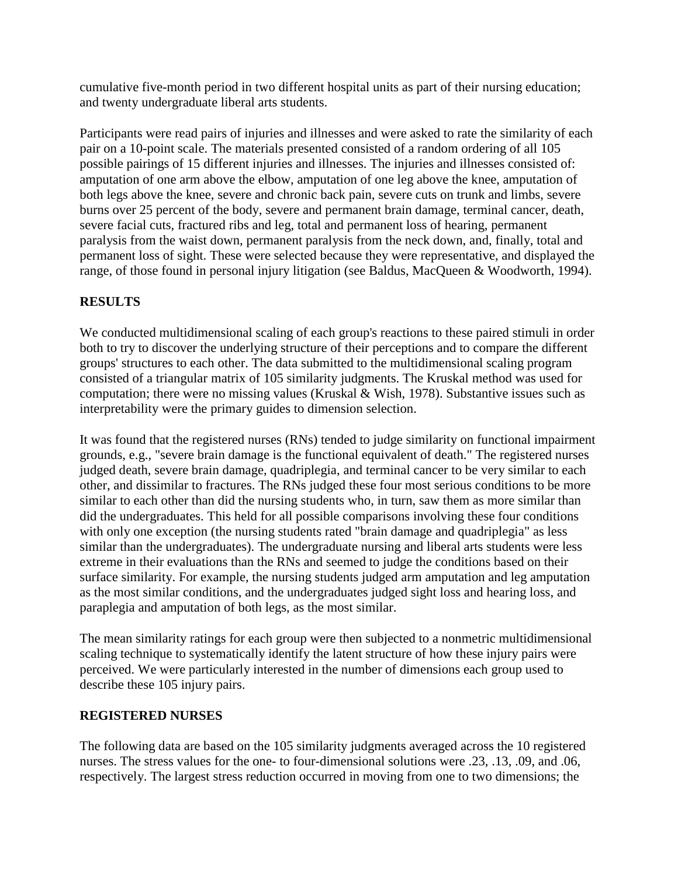cumulative five-month period in two different hospital units as part of their nursing education; and twenty undergraduate liberal arts students.

Participants were read pairs of injuries and illnesses and were asked to rate the similarity of each pair on a 10-point scale. The materials presented consisted of a random ordering of all 105 possible pairings of 15 different injuries and illnesses. The injuries and illnesses consisted of: amputation of one arm above the elbow, amputation of one leg above the knee, amputation of both legs above the knee, severe and chronic back pain, severe cuts on trunk and limbs, severe burns over 25 percent of the body, severe and permanent brain damage, terminal cancer, death, severe facial cuts, fractured ribs and leg, total and permanent loss of hearing, permanent paralysis from the waist down, permanent paralysis from the neck down, and, finally, total and permanent loss of sight. These were selected because they were representative, and displayed the range, of those found in personal injury litigation (see Baldus, MacQueen & Woodworth, 1994).

# **RESULTS**

We conducted multidimensional scaling of each group's reactions to these paired stimuli in order both to try to discover the underlying structure of their perceptions and to compare the different groups' structures to each other. The data submitted to the multidimensional scaling program consisted of a triangular matrix of 105 similarity judgments. The Kruskal method was used for computation; there were no missing values (Kruskal & Wish, 1978). Substantive issues such as interpretability were the primary guides to dimension selection.

It was found that the registered nurses (RNs) tended to judge similarity on functional impairment grounds, e.g., "severe brain damage is the functional equivalent of death." The registered nurses judged death, severe brain damage, quadriplegia, and terminal cancer to be very similar to each other, and dissimilar to fractures. The RNs judged these four most serious conditions to be more similar to each other than did the nursing students who, in turn, saw them as more similar than did the undergraduates. This held for all possible comparisons involving these four conditions with only one exception (the nursing students rated "brain damage and quadriplegia" as less similar than the undergraduates). The undergraduate nursing and liberal arts students were less extreme in their evaluations than the RNs and seemed to judge the conditions based on their surface similarity. For example, the nursing students judged arm amputation and leg amputation as the most similar conditions, and the undergraduates judged sight loss and hearing loss, and paraplegia and amputation of both legs, as the most similar.

The mean similarity ratings for each group were then subjected to a nonmetric multidimensional scaling technique to systematically identify the latent structure of how these injury pairs were perceived. We were particularly interested in the number of dimensions each group used to describe these 105 injury pairs.

## **REGISTERED NURSES**

The following data are based on the 105 similarity judgments averaged across the 10 registered nurses. The stress values for the one- to four-dimensional solutions were .23, .13, .09, and .06, respectively. The largest stress reduction occurred in moving from one to two dimensions; the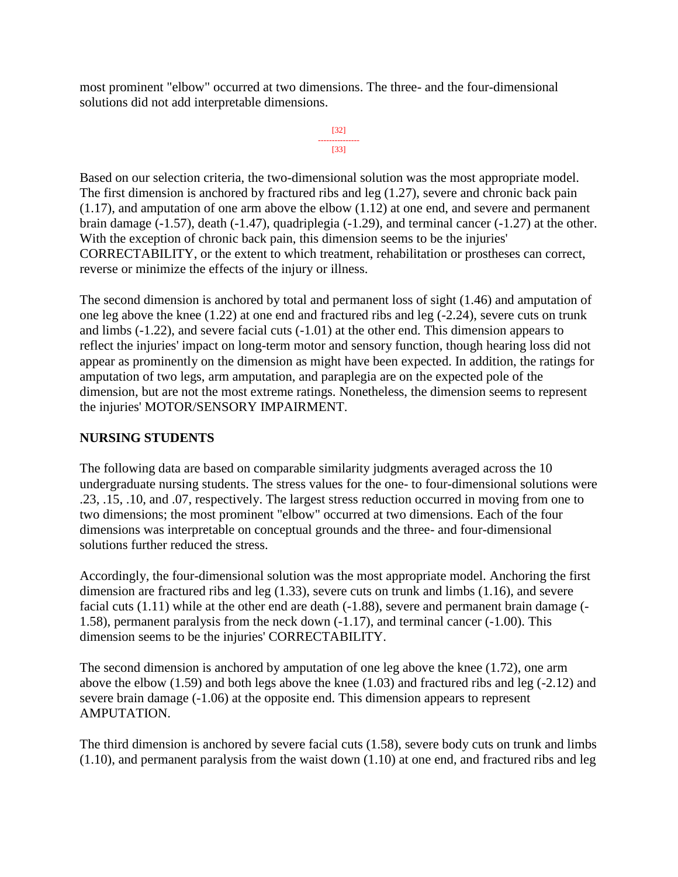most prominent "elbow" occurred at two dimensions. The three- and the four-dimensional solutions did not add interpretable dimensions.

```
[32]
---------------
    [33]
```
Based on our selection criteria, the two-dimensional solution was the most appropriate model. The first dimension is anchored by fractured ribs and leg (1.27), severe and chronic back pain (1.17), and amputation of one arm above the elbow (1.12) at one end, and severe and permanent brain damage (-1.57), death (-1.47), quadriplegia (-1.29), and terminal cancer (-1.27) at the other. With the exception of chronic back pain, this dimension seems to be the injuries' CORRECTABILITY, or the extent to which treatment, rehabilitation or prostheses can correct, reverse or minimize the effects of the injury or illness.

The second dimension is anchored by total and permanent loss of sight (1.46) and amputation of one leg above the knee (1.22) at one end and fractured ribs and leg (-2.24), severe cuts on trunk and limbs (-1.22), and severe facial cuts (-1.01) at the other end. This dimension appears to reflect the injuries' impact on long-term motor and sensory function, though hearing loss did not appear as prominently on the dimension as might have been expected. In addition, the ratings for amputation of two legs, arm amputation, and paraplegia are on the expected pole of the dimension, but are not the most extreme ratings. Nonetheless, the dimension seems to represent the injuries' MOTOR/SENSORY IMPAIRMENT.

## **NURSING STUDENTS**

The following data are based on comparable similarity judgments averaged across the 10 undergraduate nursing students. The stress values for the one- to four-dimensional solutions were .23, .15, .10, and .07, respectively. The largest stress reduction occurred in moving from one to two dimensions; the most prominent "elbow" occurred at two dimensions. Each of the four dimensions was interpretable on conceptual grounds and the three- and four-dimensional solutions further reduced the stress.

Accordingly, the four-dimensional solution was the most appropriate model. Anchoring the first dimension are fractured ribs and leg (1.33), severe cuts on trunk and limbs (1.16), and severe facial cuts (1.11) while at the other end are death (-1.88), severe and permanent brain damage (- 1.58), permanent paralysis from the neck down (-1.17), and terminal cancer (-1.00). This dimension seems to be the injuries' CORRECTABILITY.

The second dimension is anchored by amputation of one leg above the knee (1.72), one arm above the elbow (1.59) and both legs above the knee (1.03) and fractured ribs and leg (-2.12) and severe brain damage (-1.06) at the opposite end. This dimension appears to represent AMPUTATION.

The third dimension is anchored by severe facial cuts (1.58), severe body cuts on trunk and limbs (1.10), and permanent paralysis from the waist down (1.10) at one end, and fractured ribs and leg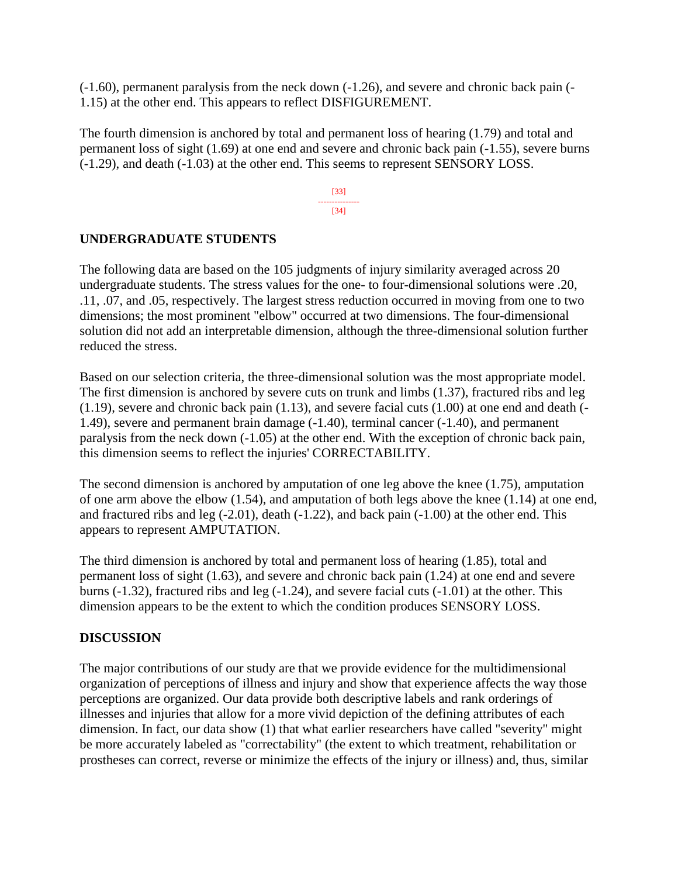(-1.60), permanent paralysis from the neck down (-1.26), and severe and chronic back pain (- 1.15) at the other end. This appears to reflect DISFIGUREMENT.

The fourth dimension is anchored by total and permanent loss of hearing (1.79) and total and permanent loss of sight (1.69) at one end and severe and chronic back pain (-1.55), severe burns (-1.29), and death (-1.03) at the other end. This seems to represent SENSORY LOSS.

> [33] --------------- [34]

## **UNDERGRADUATE STUDENTS**

The following data are based on the 105 judgments of injury similarity averaged across 20 undergraduate students. The stress values for the one- to four-dimensional solutions were .20, .11, .07, and .05, respectively. The largest stress reduction occurred in moving from one to two dimensions; the most prominent "elbow" occurred at two dimensions. The four-dimensional solution did not add an interpretable dimension, although the three-dimensional solution further reduced the stress.

Based on our selection criteria, the three-dimensional solution was the most appropriate model. The first dimension is anchored by severe cuts on trunk and limbs (1.37), fractured ribs and leg (1.19), severe and chronic back pain (1.13), and severe facial cuts (1.00) at one end and death (- 1.49), severe and permanent brain damage (-1.40), terminal cancer (-1.40), and permanent paralysis from the neck down (-1.05) at the other end. With the exception of chronic back pain, this dimension seems to reflect the injuries' CORRECTABILITY.

The second dimension is anchored by amputation of one leg above the knee (1.75), amputation of one arm above the elbow (1.54), and amputation of both legs above the knee (1.14) at one end, and fractured ribs and leg  $(-2.01)$ , death  $(-1.22)$ , and back pain  $(-1.00)$  at the other end. This appears to represent AMPUTATION.

The third dimension is anchored by total and permanent loss of hearing (1.85), total and permanent loss of sight (1.63), and severe and chronic back pain (1.24) at one end and severe burns (-1.32), fractured ribs and leg (-1.24), and severe facial cuts (-1.01) at the other. This dimension appears to be the extent to which the condition produces SENSORY LOSS.

## **DISCUSSION**

The major contributions of our study are that we provide evidence for the multidimensional organization of perceptions of illness and injury and show that experience affects the way those perceptions are organized. Our data provide both descriptive labels and rank orderings of illnesses and injuries that allow for a more vivid depiction of the defining attributes of each dimension. In fact, our data show (1) that what earlier researchers have called "severity" might be more accurately labeled as "correctability" (the extent to which treatment, rehabilitation or prostheses can correct, reverse or minimize the effects of the injury or illness) and, thus, similar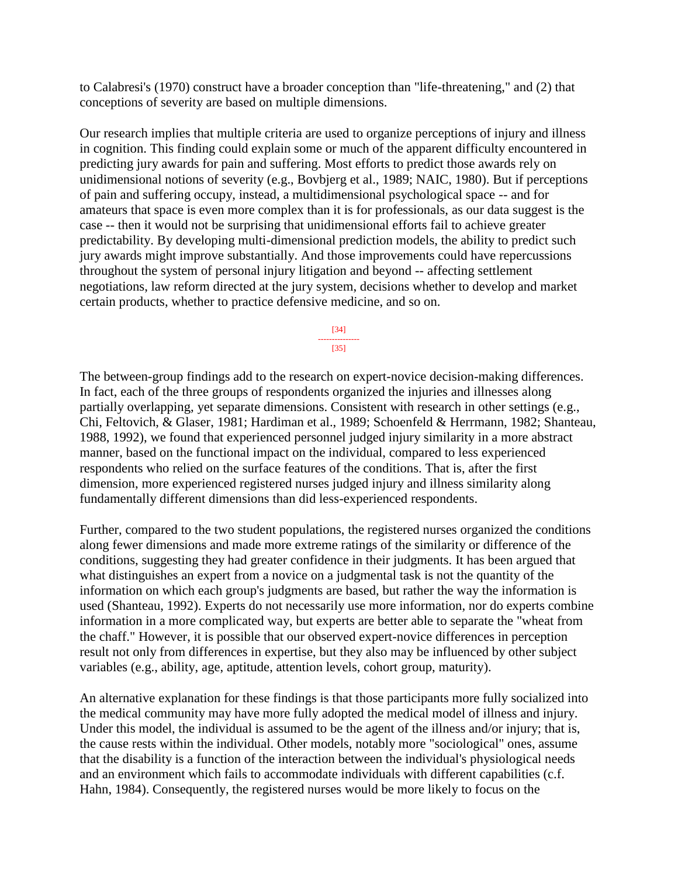to Calabresi's (1970) construct have a broader conception than "life-threatening," and (2) that conceptions of severity are based on multiple dimensions.

Our research implies that multiple criteria are used to organize perceptions of injury and illness in cognition. This finding could explain some or much of the apparent difficulty encountered in predicting jury awards for pain and suffering. Most efforts to predict those awards rely on unidimensional notions of severity (e.g., Bovbjerg et al., 1989; NAIC, 1980). But if perceptions of pain and suffering occupy, instead, a multidimensional psychological space -- and for amateurs that space is even more complex than it is for professionals, as our data suggest is the case -- then it would not be surprising that unidimensional efforts fail to achieve greater predictability. By developing multi-dimensional prediction models, the ability to predict such jury awards might improve substantially. And those improvements could have repercussions throughout the system of personal injury litigation and beyond -- affecting settlement negotiations, law reform directed at the jury system, decisions whether to develop and market certain products, whether to practice defensive medicine, and so on.

> [34] --------------- [35]

The between-group findings add to the research on expert-novice decision-making differences. In fact, each of the three groups of respondents organized the injuries and illnesses along partially overlapping, yet separate dimensions. Consistent with research in other settings (e.g., Chi, Feltovich, & Glaser, 1981; Hardiman et al., 1989; Schoenfeld & Herrmann, 1982; Shanteau, 1988, 1992), we found that experienced personnel judged injury similarity in a more abstract manner, based on the functional impact on the individual, compared to less experienced respondents who relied on the surface features of the conditions. That is, after the first dimension, more experienced registered nurses judged injury and illness similarity along fundamentally different dimensions than did less-experienced respondents.

Further, compared to the two student populations, the registered nurses organized the conditions along fewer dimensions and made more extreme ratings of the similarity or difference of the conditions, suggesting they had greater confidence in their judgments. It has been argued that what distinguishes an expert from a novice on a judgmental task is not the quantity of the information on which each group's judgments are based, but rather the way the information is used (Shanteau, 1992). Experts do not necessarily use more information, nor do experts combine information in a more complicated way, but experts are better able to separate the "wheat from the chaff." However, it is possible that our observed expert-novice differences in perception result not only from differences in expertise, but they also may be influenced by other subject variables (e.g., ability, age, aptitude, attention levels, cohort group, maturity).

An alternative explanation for these findings is that those participants more fully socialized into the medical community may have more fully adopted the medical model of illness and injury. Under this model, the individual is assumed to be the agent of the illness and/or injury; that is, the cause rests within the individual. Other models, notably more "sociological" ones, assume that the disability is a function of the interaction between the individual's physiological needs and an environment which fails to accommodate individuals with different capabilities (c.f. Hahn, 1984). Consequently, the registered nurses would be more likely to focus on the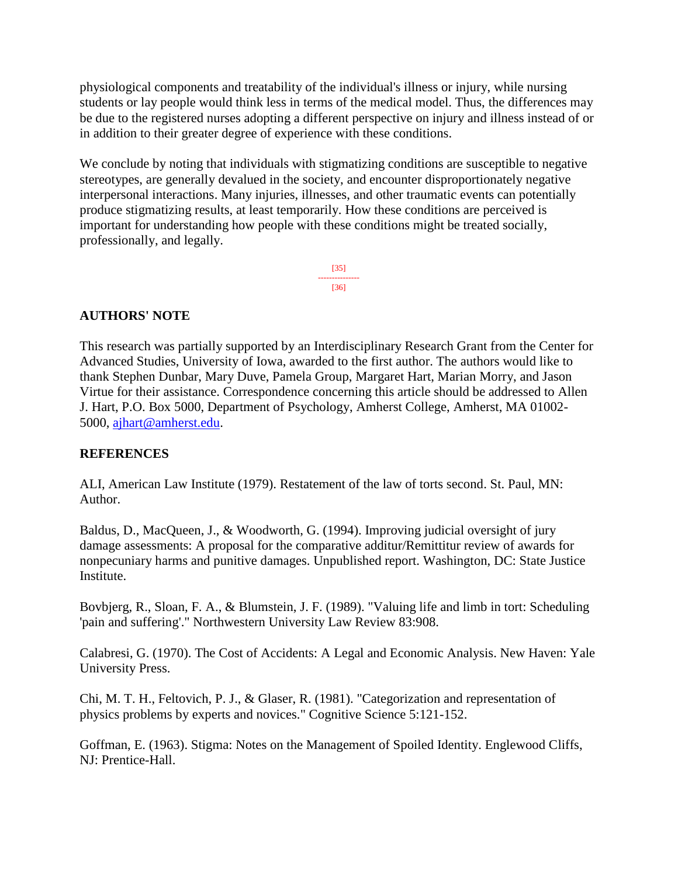physiological components and treatability of the individual's illness or injury, while nursing students or lay people would think less in terms of the medical model. Thus, the differences may be due to the registered nurses adopting a different perspective on injury and illness instead of or in addition to their greater degree of experience with these conditions.

We conclude by noting that individuals with stigmatizing conditions are susceptible to negative stereotypes, are generally devalued in the society, and encounter disproportionately negative interpersonal interactions. Many injuries, illnesses, and other traumatic events can potentially produce stigmatizing results, at least temporarily. How these conditions are perceived is important for understanding how people with these conditions might be treated socially, professionally, and legally.

> [35] --------------- [36]

#### **AUTHORS' NOTE**

This research was partially supported by an Interdisciplinary Research Grant from the Center for Advanced Studies, University of Iowa, awarded to the first author. The authors would like to thank Stephen Dunbar, Mary Duve, Pamela Group, Margaret Hart, Marian Morry, and Jason Virtue for their assistance. Correspondence concerning this article should be addressed to Allen J. Hart, P.O. Box 5000, Department of Psychology, Amherst College, Amherst, MA 01002- 5000, [ajhart@amherst.edu.](mailto:ajhart@amherst.edu)

#### **REFERENCES**

ALI, American Law Institute (1979). Restatement of the law of torts second. St. Paul, MN: Author.

Baldus, D., MacQueen, J., & Woodworth, G. (1994). Improving judicial oversight of jury damage assessments: A proposal for the comparative additur/Remittitur review of awards for nonpecuniary harms and punitive damages. Unpublished report. Washington, DC: State Justice Institute.

Bovbjerg, R., Sloan, F. A., & Blumstein, J. F. (1989). "Valuing life and limb in tort: Scheduling 'pain and suffering'." Northwestern University Law Review 83:908.

Calabresi, G. (1970). The Cost of Accidents: A Legal and Economic Analysis. New Haven: Yale University Press.

Chi, M. T. H., Feltovich, P. J., & Glaser, R. (1981). "Categorization and representation of physics problems by experts and novices." Cognitive Science 5:121-152.

Goffman, E. (1963). Stigma: Notes on the Management of Spoiled Identity. Englewood Cliffs, NJ: Prentice-Hall.